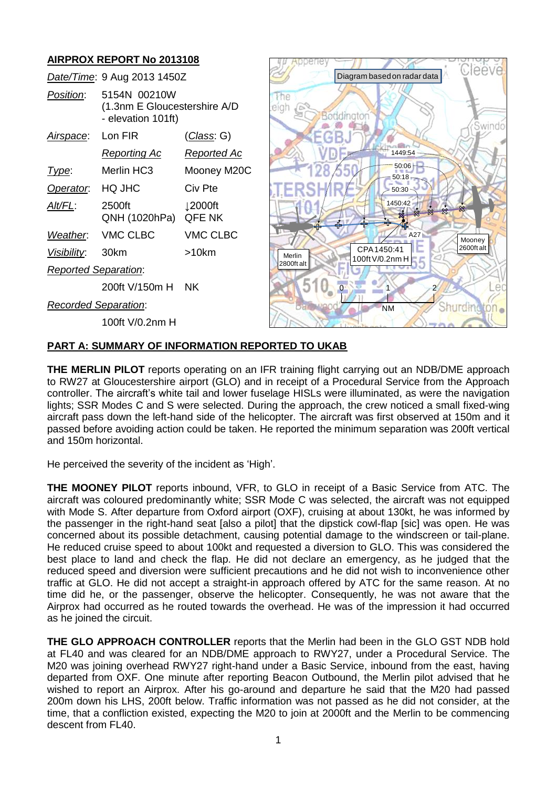# **AIRPROX REPORT No 2013108**

|                             | Date/Time: 9 Aug 2013 1450Z                                        |                                      |
|-----------------------------|--------------------------------------------------------------------|--------------------------------------|
| Position:                   | 5154N 00210W<br>(1.3nm E Gloucestershire A/D<br>- elevation 101ft) |                                      |
| <u>Airspace:</u>            | Lon FIR                                                            | <u>(Class</u> : G)                   |
|                             | <u>Reporting Ac</u>                                                | Reported Ac                          |
| Type:                       | Merlin HC3                                                         | Mooney M20C                          |
| Operator: HQ JHC            |                                                                    | Civ Pte                              |
| Alt/FL:                     | 2500ft<br>QNH (1020hPa)                                            | $\downarrow$ 2000ft<br><b>QFE NK</b> |
|                             | Weather. VMC CLBC                                                  | <b>VMC CLBC</b>                      |
| Visibility: 30km            |                                                                    | >10km                                |
| <b>Reported Separation:</b> |                                                                    |                                      |
|                             | 200ft V/150m H NK                                                  |                                      |
| <b>Recorded Separation:</b> |                                                                    |                                      |
|                             | 100ft V/0.2nm H                                                    |                                      |



## **PART A: SUMMARY OF INFORMATION REPORTED TO UKAB**

**THE MERLIN PILOT** reports operating on an IFR training flight carrying out an NDB/DME approach to RW27 at Gloucestershire airport (GLO) and in receipt of a Procedural Service from the Approach controller. The aircraft's white tail and lower fuselage HISLs were illuminated, as were the navigation lights; SSR Modes C and S were selected. During the approach, the crew noticed a small fixed-wing aircraft pass down the left-hand side of the helicopter. The aircraft was first observed at 150m and it passed before avoiding action could be taken. He reported the minimum separation was 200ft vertical and 150m horizontal.

He perceived the severity of the incident as 'High'.

**THE MOONEY PILOT** reports inbound, VFR, to GLO in receipt of a Basic Service from ATC. The aircraft was coloured predominantly white; SSR Mode C was selected, the aircraft was not equipped with Mode S. After departure from Oxford airport (OXF), cruising at about 130kt, he was informed by the passenger in the right-hand seat [also a pilot] that the dipstick cowl-flap [sic] was open. He was concerned about its possible detachment, causing potential damage to the windscreen or tail-plane. He reduced cruise speed to about 100kt and requested a diversion to GLO. This was considered the best place to land and check the flap. He did not declare an emergency, as he judged that the reduced speed and diversion were sufficient precautions and he did not wish to inconvenience other traffic at GLO. He did not accept a straight-in approach offered by ATC for the same reason. At no time did he, or the passenger, observe the helicopter. Consequently, he was not aware that the Airprox had occurred as he routed towards the overhead. He was of the impression it had occurred as he joined the circuit. descent from FL40. Diagram based on radar data

**THE GLO APPROACH CONTROLLER** reports that the Merlin had been in the GLO GST NDB hold at FL40 and was cleared for an NDB/DME approach to RWY27, under a Procedural Service. The M20 was joining overhead RWY27 right-hand under a Basic Service, inbound from the east, having departed from OXF. One minute after reporting Beacon Outbound, the Merlin pilot advised that he wished to report an Airprox. After his go-around and departure he said that the M20 had passed 200m down his LHS, 200ft below. Traffic information was not passed as he did not consider, at the time, that a confliction existed, expecting the M20 to join at 2000ft and the Merlin to be commencing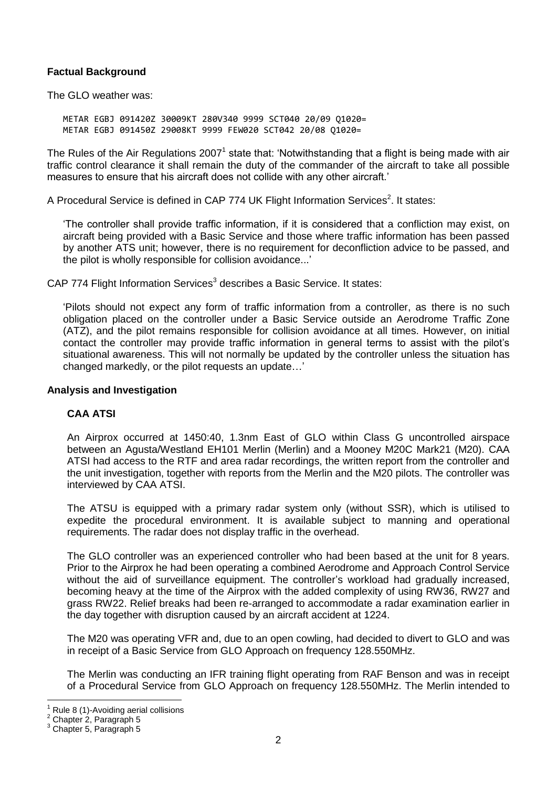## **Factual Background**

The GLO weather was:

METAR EGBJ 091420Z 30009KT 280V340 9999 SCT040 20/09 Q1020= METAR EGBJ 091450Z 29008KT 9999 FEW020 SCT042 20/08 Q1020=

The Rules of the Air Regulations 2007<sup>1</sup> state that: 'Notwithstanding that a flight is being made with air traffic control clearance it shall remain the duty of the commander of the aircraft to take all possible measures to ensure that his aircraft does not collide with any other aircraft.'

A Procedural Service is defined in CAP 774 UK Flight Information Services<sup>2</sup>. It states:

'The controller shall provide traffic information, if it is considered that a confliction may exist, on aircraft being provided with a Basic Service and those where traffic information has been passed by another ATS unit; however, there is no requirement for deconfliction advice to be passed, and the pilot is wholly responsible for collision avoidance...'

CAP 774 Flight Information Services<sup>3</sup> describes a Basic Service. It states:

'Pilots should not expect any form of traffic information from a controller, as there is no such obligation placed on the controller under a Basic Service outside an Aerodrome Traffic Zone (ATZ), and the pilot remains responsible for collision avoidance at all times. However, on initial contact the controller may provide traffic information in general terms to assist with the pilot's situational awareness. This will not normally be updated by the controller unless the situation has changed markedly, or the pilot requests an update…'

#### **Analysis and Investigation**

## **CAA ATSI**

An Airprox occurred at 1450:40, 1.3nm East of GLO within Class G uncontrolled airspace between an Agusta/Westland EH101 Merlin (Merlin) and a Mooney M20C Mark21 (M20). CAA ATSI had access to the RTF and area radar recordings, the written report from the controller and the unit investigation, together with reports from the Merlin and the M20 pilots. The controller was interviewed by CAA ATSI.

The ATSU is equipped with a primary radar system only (without SSR), which is utilised to expedite the procedural environment. It is available subject to manning and operational requirements. The radar does not display traffic in the overhead.

The GLO controller was an experienced controller who had been based at the unit for 8 years. Prior to the Airprox he had been operating a combined Aerodrome and Approach Control Service without the aid of surveillance equipment. The controller's workload had gradually increased, becoming heavy at the time of the Airprox with the added complexity of using RW36, RW27 and grass RW22. Relief breaks had been re-arranged to accommodate a radar examination earlier in the day together with disruption caused by an aircraft accident at 1224.

The M20 was operating VFR and, due to an open cowling, had decided to divert to GLO and was in receipt of a Basic Service from GLO Approach on frequency 128.550MHz.

The Merlin was conducting an IFR training flight operating from RAF Benson and was in receipt of a Procedural Service from GLO Approach on frequency 128.550MHz. The Merlin intended to

 $\overline{\phantom{a}}$ 

Rule 8 (1)-Avoiding aerial collisions

<sup>2</sup> Chapter 2, Paragraph 5

Chapter 5, Paragraph 5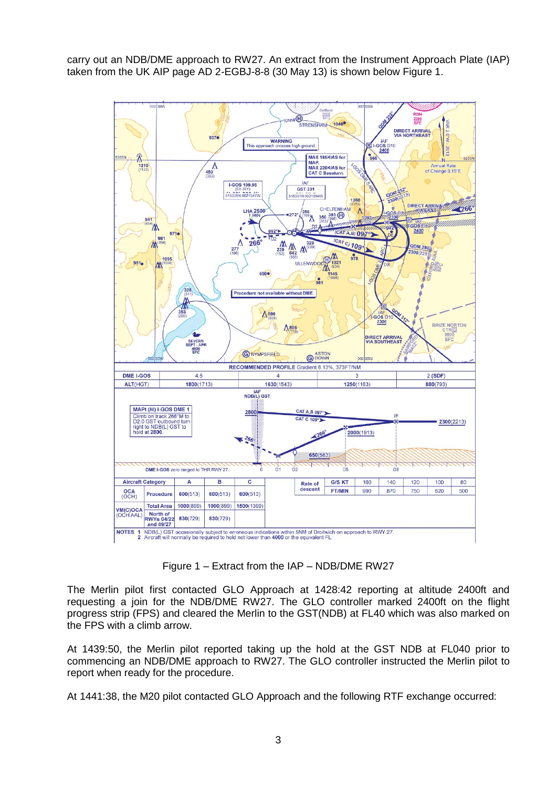carry out an NDB/DME approach to RW27. An extract from the Instrument Approach Plate (IAP) taken from the UK AIP page AD 2-EGBJ-8-8 (30 May 13) is shown below Figure 1.



Figure 1 – Extract from the IAP – NDB/DME RW27

The Merlin pilot first contacted GLO Approach at 1428:42 reporting at altitude 2400ft and requesting a join for the NDB/DME RW27. The GLO controller marked 2400ft on the flight progress strip (FPS) and cleared the Merlin to the GST(NDB) at FL40 which was also marked on the FPS with a climb arrow.

At 1439:50, the Merlin pilot reported taking up the hold at the GST NDB at FL040 prior to commencing an NDB/DME approach to RW27. The GLO controller instructed the Merlin pilot to report when ready for the procedure.

At 1441:38, the M20 pilot contacted GLO Approach and the following RTF exchange occurred: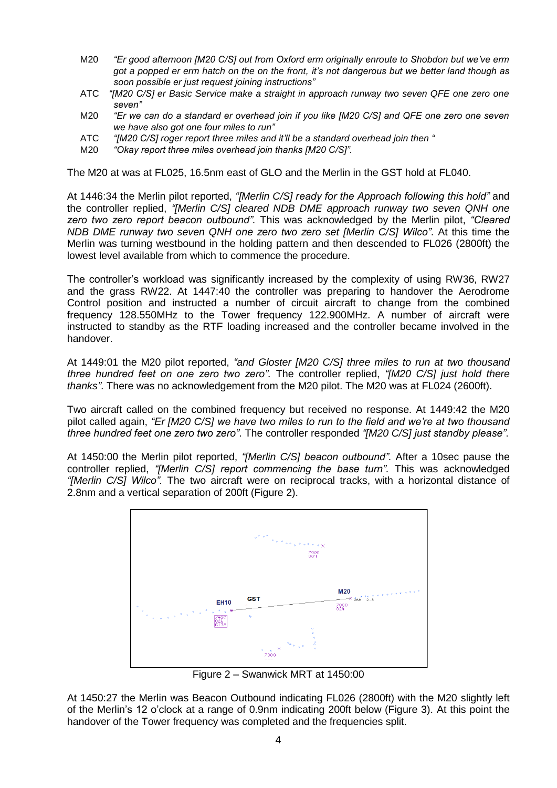- M20 *"Er good afternoon [M20 C/S] out from Oxford erm originally enroute to Shobdon but we've erm got a popped er erm hatch on the on the front, it's not dangerous but we better land though as soon possible er just request joining instructions"*
- ATC *"[M20 C/S] er Basic Service make a straight in approach runway two seven QFE one zero one seven"*
- M20 *"Er we can do a standard er overhead join if you like [M20 C/S] and QFE one zero one seven we have also got one four miles to run"*
- ATC *"[M20 C/S] roger report three miles and it'll be a standard overhead join then "*
- M20 *"Okay report three miles overhead join thanks [M20 C/S]".*

The M20 at was at FL025, 16.5nm east of GLO and the Merlin in the GST hold at FL040.

At 1446:34 the Merlin pilot reported, *"[Merlin C/S] ready for the Approach following this hold"* and the controller replied, *"[Merlin C/S] cleared NDB DME approach runway two seven QNH one zero two zero report beacon outbound".* This was acknowledged by the Merlin pilot, *"Cleared NDB DME runway two seven QNH one zero two zero set [Merlin C/S] Wilco"*. At this time the Merlin was turning westbound in the holding pattern and then descended to FL026 (2800ft) the lowest level available from which to commence the procedure.

The controller's workload was significantly increased by the complexity of using RW36, RW27 and the grass RW22. At 1447:40 the controller was preparing to handover the Aerodrome Control position and instructed a number of circuit aircraft to change from the combined frequency 128.550MHz to the Tower frequency 122.900MHz. A number of aircraft were instructed to standby as the RTF loading increased and the controller became involved in the handover.

At 1449:01 the M20 pilot reported, *"and Gloster [M20 C/S] three miles to run at two thousand three hundred feet on one zero two zero".* The controller replied, *"[M20 C/S] just hold there thanks"*. There was no acknowledgement from the M20 pilot. The M20 was at FL024 (2600ft).

Two aircraft called on the combined frequency but received no response. At 1449:42 the M20 pilot called again, *"Er [M20 C/S] we have two miles to run to the field and we're at two thousand three hundred feet one zero two zero"*. The controller responded *"[M20 C/S] just standby please"*.

At 1450:00 the Merlin pilot reported, *"[Merlin C/S] beacon outbound".* After a 10sec pause the controller replied, *"[Merlin C/S] report commencing the base turn".* This was acknowledged *"[Merlin C/S] Wilco".* The two aircraft were on reciprocal tracks, with a horizontal distance of 2.8nm and a vertical separation of 200ft (Figure 2).



Figure 2 – Swanwick MRT at 1450:00

At 1450:27 the Merlin was Beacon Outbound indicating FL026 (2800ft) with the M20 slightly left of the Merlin's 12 o'clock at a range of 0.9nm indicating 200ft below (Figure 3). At this point the handover of the Tower frequency was completed and the frequencies split.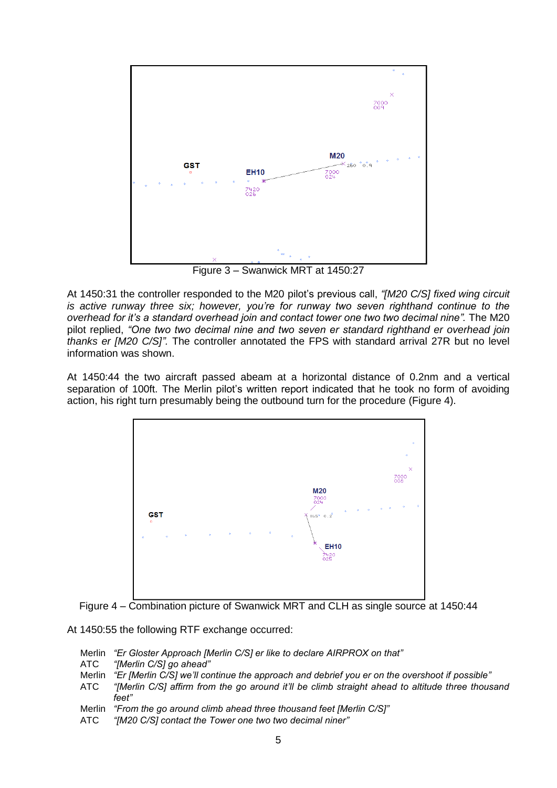

Figure 3 – Swanwick MRT at 1450:27

At 1450:31 the controller responded to the M20 pilot's previous call, *"[M20 C/S] fixed wing circuit is active runway three six; however, you're for runway two seven righthand continue to the overhead for it's a standard overhead join and contact tower one two two decimal nine".* The M20 pilot replied, *"One two two decimal nine and two seven er standard righthand er overhead join thanks er [M20 C/S]".* The controller annotated the FPS with standard arrival 27R but no level information was shown.

At 1450:44 the two aircraft passed abeam at a horizontal distance of 0.2nm and a vertical separation of 100ft. The Merlin pilot's written report indicated that he took no form of avoiding action, his right turn presumably being the outbound turn for the procedure (Figure 4).





At 1450:55 the following RTF exchange occurred:

- Merlin *"Er Gloster Approach [Merlin C/S] er like to declare AIRPROX on that"*
- ATC *"[Merlin C/S] go ahead"*
- Merlin *"Er [Merlin C/S] we'll continue the approach and debrief you er on the overshoot if possible"*
- ATC *"[Merlin C/S] affirm from the go around it'll be climb straight ahead to altitude three thousand feet"*
- Merlin *"From the go around climb ahead three thousand feet [Merlin C/S]"*
- ATC *"[M20 C/S] contact the Tower one two two decimal niner"*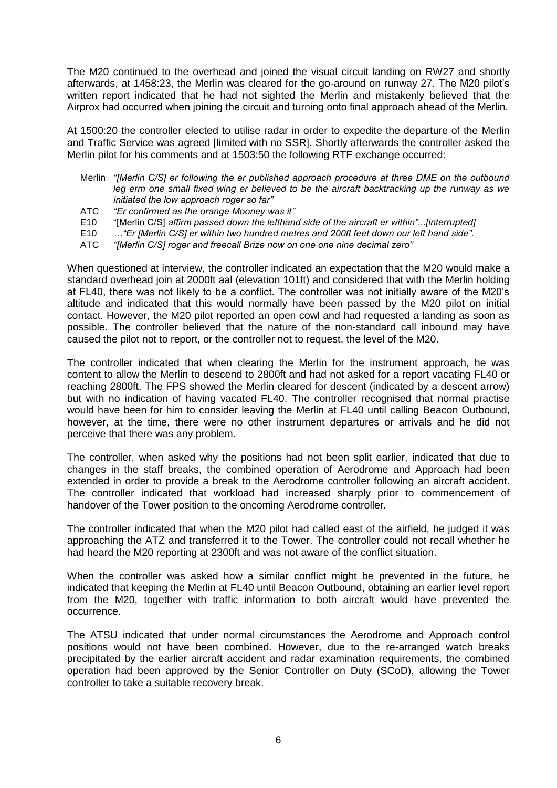The M20 continued to the overhead and joined the visual circuit landing on RW27 and shortly afterwards, at 1458:23, the Merlin was cleared for the go-around on runway 27. The M20 pilot's written report indicated that he had not sighted the Merlin and mistakenly believed that the Airprox had occurred when joining the circuit and turning onto final approach ahead of the Merlin.

At 1500:20 the controller elected to utilise radar in order to expedite the departure of the Merlin and Traffic Service was agreed [limited with no SSR]. Shortly afterwards the controller asked the Merlin pilot for his comments and at 1503:50 the following RTF exchange occurred:

- Merlin *"[Merlin C/S] er following the er published approach procedure at three DME on the outbound leg erm one small fixed wing er believed to be the aircraft backtracking up the runway as we initiated the low approach roger so far"*
- ATC *"Er confirmed as the orange Mooney was it"*
- E10 "[Merlin C/S] *affirm passed down the lefthand side of the aircraft er within"...[interrupted]*
- E10 *…"Er [Merlin C/S] er within two hundred metres and 200ft feet down our left hand side".*
- ATC *"[Merlin C/S] roger and freecall Brize now on one one nine decimal zero"*

When questioned at interview, the controller indicated an expectation that the M20 would make a standard overhead join at 2000ft aal (elevation 101ft) and considered that with the Merlin holding at FL40, there was not likely to be a conflict. The controller was not initially aware of the M20's altitude and indicated that this would normally have been passed by the M20 pilot on initial contact. However, the M20 pilot reported an open cowl and had requested a landing as soon as possible. The controller believed that the nature of the non-standard call inbound may have caused the pilot not to report, or the controller not to request, the level of the M20.

The controller indicated that when clearing the Merlin for the instrument approach, he was content to allow the Merlin to descend to 2800ft and had not asked for a report vacating FL40 or reaching 2800ft. The FPS showed the Merlin cleared for descent (indicated by a descent arrow) but with no indication of having vacated FL40. The controller recognised that normal practise would have been for him to consider leaving the Merlin at FL40 until calling Beacon Outbound, however, at the time, there were no other instrument departures or arrivals and he did not perceive that there was any problem.

The controller, when asked why the positions had not been split earlier, indicated that due to changes in the staff breaks, the combined operation of Aerodrome and Approach had been extended in order to provide a break to the Aerodrome controller following an aircraft accident. The controller indicated that workload had increased sharply prior to commencement of handover of the Tower position to the oncoming Aerodrome controller.

The controller indicated that when the M20 pilot had called east of the airfield, he judged it was approaching the ATZ and transferred it to the Tower. The controller could not recall whether he had heard the M20 reporting at 2300ft and was not aware of the conflict situation.

When the controller was asked how a similar conflict might be prevented in the future, he indicated that keeping the Merlin at FL40 until Beacon Outbound, obtaining an earlier level report from the M20, together with traffic information to both aircraft would have prevented the occurrence.

The ATSU indicated that under normal circumstances the Aerodrome and Approach control positions would not have been combined. However, due to the re-arranged watch breaks precipitated by the earlier aircraft accident and radar examination requirements, the combined operation had been approved by the Senior Controller on Duty (SCoD), allowing the Tower controller to take a suitable recovery break.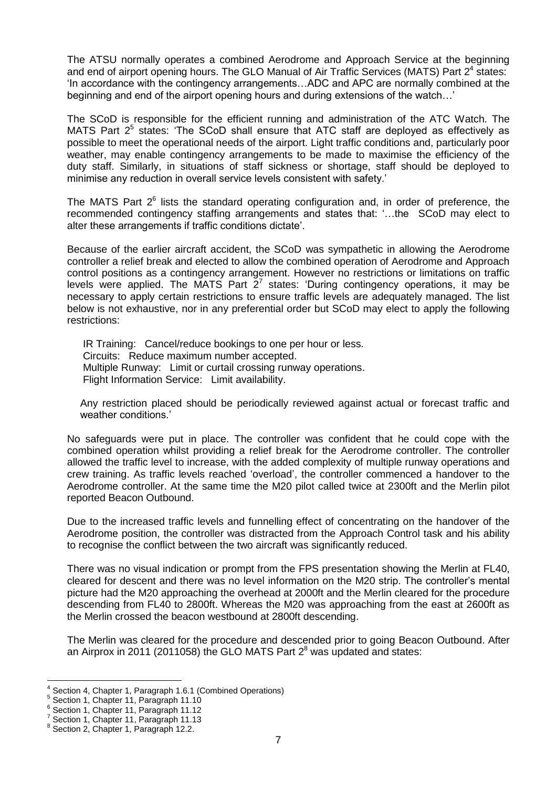The ATSU normally operates a combined Aerodrome and Approach Service at the beginning and end of airport opening hours. The GLO Manual of Air Traffic Services (MATS) Part  $2^4$  states: 'In accordance with the contingency arrangements…ADC and APC are normally combined at the beginning and end of the airport opening hours and during extensions of the watch…'

The SCoD is responsible for the efficient running and administration of the ATC Watch. The MATS Part  $2^5$  states: 'The SCoD shall ensure that ATC staff are deployed as effectively as possible to meet the operational needs of the airport. Light traffic conditions and, particularly poor weather, may enable contingency arrangements to be made to maximise the efficiency of the duty staff. Similarly, in situations of staff sickness or shortage, staff should be deployed to minimise any reduction in overall service levels consistent with safety.'

The MATS Part  $2^6$  lists the standard operating configuration and, in order of preference, the recommended contingency staffing arrangements and states that: '…the SCoD may elect to alter these arrangements if traffic conditions dictate'.

Because of the earlier aircraft accident, the SCoD was sympathetic in allowing the Aerodrome controller a relief break and elected to allow the combined operation of Aerodrome and Approach control positions as a contingency arrangement. However no restrictions or limitations on traffic levels were applied. The MATS Part  $2^7$  states: 'During contingency operations, it may be necessary to apply certain restrictions to ensure traffic levels are adequately managed. The list below is not exhaustive, nor in any preferential order but SCoD may elect to apply the following restrictions:

IR Training: Cancel/reduce bookings to one per hour or less. Circuits: Reduce maximum number accepted. Multiple Runway: Limit or curtail crossing runway operations. Flight Information Service: Limit availability.

Any restriction placed should be periodically reviewed against actual or forecast traffic and weather conditions.'

No safeguards were put in place. The controller was confident that he could cope with the combined operation whilst providing a relief break for the Aerodrome controller. The controller allowed the traffic level to increase, with the added complexity of multiple runway operations and crew training. As traffic levels reached 'overload', the controller commenced a handover to the Aerodrome controller. At the same time the M20 pilot called twice at 2300ft and the Merlin pilot reported Beacon Outbound.

Due to the increased traffic levels and funnelling effect of concentrating on the handover of the Aerodrome position, the controller was distracted from the Approach Control task and his ability to recognise the conflict between the two aircraft was significantly reduced.

There was no visual indication or prompt from the FPS presentation showing the Merlin at FL40, cleared for descent and there was no level information on the M20 strip. The controller's mental picture had the M20 approaching the overhead at 2000ft and the Merlin cleared for the procedure descending from FL40 to 2800ft. Whereas the M20 was approaching from the east at 2600ft as the Merlin crossed the beacon westbound at 2800ft descending.

The Merlin was cleared for the procedure and descended prior to going Beacon Outbound. After an Airprox in 2011 (2011058) the GLO MATS Part  $2<sup>8</sup>$  was updated and states:

l

<sup>4</sup> Section 4, Chapter 1, Paragraph 1.6.1 (Combined Operations)

<sup>5</sup> Section 1, Chapter 11, Paragraph 11.10

<sup>6</sup> Section 1, Chapter 11, Paragraph 11.12

<sup>7</sup> Section 1, Chapter 11, Paragraph 11.13

<sup>8</sup> Section 2, Chapter 1, Paragraph 12.2.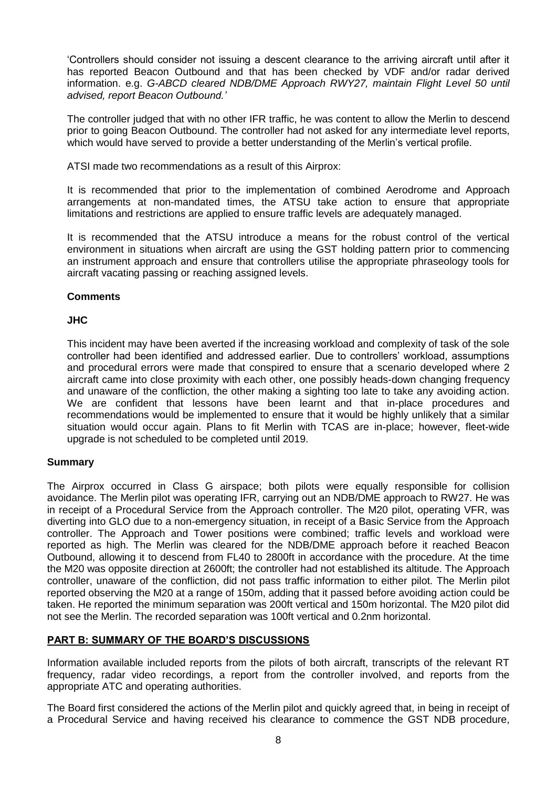'Controllers should consider not issuing a descent clearance to the arriving aircraft until after it has reported Beacon Outbound and that has been checked by VDF and/or radar derived information. e.g. *G-ABCD cleared NDB/DME Approach RWY27, maintain Flight Level 50 until advised, report Beacon Outbound.'*

The controller judged that with no other IFR traffic, he was content to allow the Merlin to descend prior to going Beacon Outbound. The controller had not asked for any intermediate level reports, which would have served to provide a better understanding of the Merlin's vertical profile.

ATSI made two recommendations as a result of this Airprox:

It is recommended that prior to the implementation of combined Aerodrome and Approach arrangements at non-mandated times, the ATSU take action to ensure that appropriate limitations and restrictions are applied to ensure traffic levels are adequately managed.

It is recommended that the ATSU introduce a means for the robust control of the vertical environment in situations when aircraft are using the GST holding pattern prior to commencing an instrument approach and ensure that controllers utilise the appropriate phraseology tools for aircraft vacating passing or reaching assigned levels.

## **Comments**

## **JHC**

This incident may have been averted if the increasing workload and complexity of task of the sole controller had been identified and addressed earlier. Due to controllers' workload, assumptions and procedural errors were made that conspired to ensure that a scenario developed where 2 aircraft came into close proximity with each other, one possibly heads-down changing frequency and unaware of the confliction, the other making a sighting too late to take any avoiding action. We are confident that lessons have been learnt and that in-place procedures and recommendations would be implemented to ensure that it would be highly unlikely that a similar situation would occur again. Plans to fit Merlin with TCAS are in-place; however, fleet-wide upgrade is not scheduled to be completed until 2019.

#### **Summary**

The Airprox occurred in Class G airspace; both pilots were equally responsible for collision avoidance. The Merlin pilot was operating IFR, carrying out an NDB/DME approach to RW27. He was in receipt of a Procedural Service from the Approach controller. The M20 pilot, operating VFR, was diverting into GLO due to a non-emergency situation, in receipt of a Basic Service from the Approach controller. The Approach and Tower positions were combined; traffic levels and workload were reported as high. The Merlin was cleared for the NDB/DME approach before it reached Beacon Outbound, allowing it to descend from FL40 to 2800ft in accordance with the procedure. At the time the M20 was opposite direction at 2600ft; the controller had not established its altitude. The Approach controller, unaware of the confliction, did not pass traffic information to either pilot. The Merlin pilot reported observing the M20 at a range of 150m, adding that it passed before avoiding action could be taken. He reported the minimum separation was 200ft vertical and 150m horizontal. The M20 pilot did not see the Merlin. The recorded separation was 100ft vertical and 0.2nm horizontal.

## **PART B: SUMMARY OF THE BOARD'S DISCUSSIONS**

Information available included reports from the pilots of both aircraft, transcripts of the relevant RT frequency, radar video recordings, a report from the controller involved, and reports from the appropriate ATC and operating authorities.

The Board first considered the actions of the Merlin pilot and quickly agreed that, in being in receipt of a Procedural Service and having received his clearance to commence the GST NDB procedure,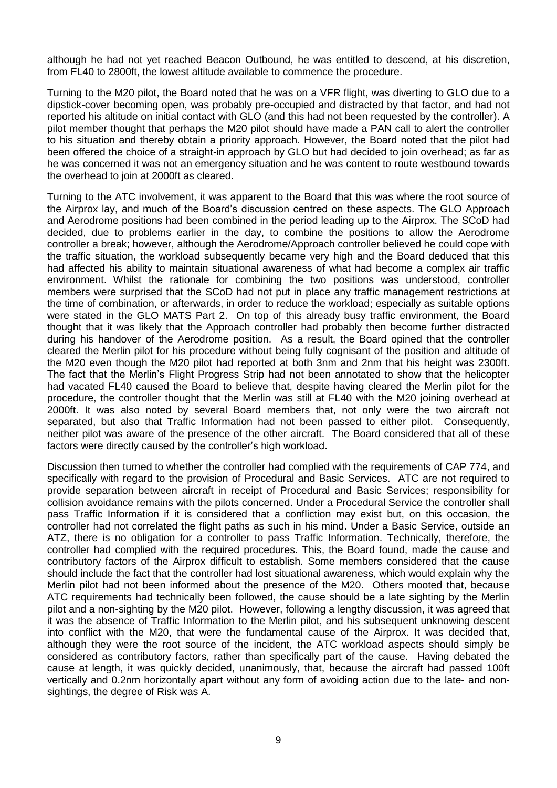although he had not yet reached Beacon Outbound, he was entitled to descend, at his discretion, from FL40 to 2800ft, the lowest altitude available to commence the procedure.

Turning to the M20 pilot, the Board noted that he was on a VFR flight, was diverting to GLO due to a dipstick-cover becoming open, was probably pre-occupied and distracted by that factor, and had not reported his altitude on initial contact with GLO (and this had not been requested by the controller). A pilot member thought that perhaps the M20 pilot should have made a PAN call to alert the controller to his situation and thereby obtain a priority approach. However, the Board noted that the pilot had been offered the choice of a straight-in approach by GLO but had decided to join overhead; as far as he was concerned it was not an emergency situation and he was content to route westbound towards the overhead to join at 2000ft as cleared.

Turning to the ATC involvement, it was apparent to the Board that this was where the root source of the Airprox lay, and much of the Board's discussion centred on these aspects. The GLO Approach and Aerodrome positions had been combined in the period leading up to the Airprox. The SCoD had decided, due to problems earlier in the day, to combine the positions to allow the Aerodrome controller a break; however, although the Aerodrome/Approach controller believed he could cope with the traffic situation, the workload subsequently became very high and the Board deduced that this had affected his ability to maintain situational awareness of what had become a complex air traffic environment. Whilst the rationale for combining the two positions was understood, controller members were surprised that the SCoD had not put in place any traffic management restrictions at the time of combination, or afterwards, in order to reduce the workload; especially as suitable options were stated in the GLO MATS Part 2. On top of this already busy traffic environment, the Board thought that it was likely that the Approach controller had probably then become further distracted during his handover of the Aerodrome position. As a result, the Board opined that the controller cleared the Merlin pilot for his procedure without being fully cognisant of the position and altitude of the M20 even though the M20 pilot had reported at both 3nm and 2nm that his height was 2300ft. The fact that the Merlin's Flight Progress Strip had not been annotated to show that the helicopter had vacated FL40 caused the Board to believe that, despite having cleared the Merlin pilot for the procedure, the controller thought that the Merlin was still at FL40 with the M20 joining overhead at 2000ft. It was also noted by several Board members that, not only were the two aircraft not separated, but also that Traffic Information had not been passed to either pilot. Consequently, neither pilot was aware of the presence of the other aircraft. The Board considered that all of these factors were directly caused by the controller's high workload.

Discussion then turned to whether the controller had complied with the requirements of CAP 774, and specifically with regard to the provision of Procedural and Basic Services. ATC are not required to provide separation between aircraft in receipt of Procedural and Basic Services; responsibility for collision avoidance remains with the pilots concerned. Under a Procedural Service the controller shall pass Traffic Information if it is considered that a confliction may exist but, on this occasion, the controller had not correlated the flight paths as such in his mind. Under a Basic Service, outside an ATZ, there is no obligation for a controller to pass Traffic Information. Technically, therefore, the controller had complied with the required procedures. This, the Board found, made the cause and contributory factors of the Airprox difficult to establish. Some members considered that the cause should include the fact that the controller had lost situational awareness, which would explain why the Merlin pilot had not been informed about the presence of the M20. Others mooted that, because ATC requirements had technically been followed, the cause should be a late sighting by the Merlin pilot and a non-sighting by the M20 pilot. However, following a lengthy discussion, it was agreed that it was the absence of Traffic Information to the Merlin pilot, and his subsequent unknowing descent into conflict with the M20, that were the fundamental cause of the Airprox. It was decided that, although they were the root source of the incident, the ATC workload aspects should simply be considered as contributory factors, rather than specifically part of the cause. Having debated the cause at length, it was quickly decided, unanimously, that, because the aircraft had passed 100ft vertically and 0.2nm horizontally apart without any form of avoiding action due to the late- and nonsightings, the degree of Risk was A.